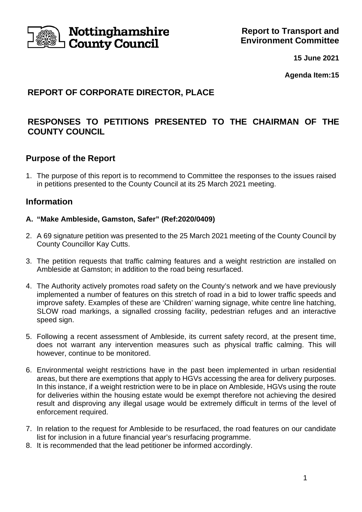

**15 June 2021**

**Agenda Item:15**

# **REPORT OF CORPORATE DIRECTOR, PLACE**

# **RESPONSES TO PETITIONS PRESENTED TO THE CHAIRMAN OF THE COUNTY COUNCIL**

## **Purpose of the Report**

1. The purpose of this report is to recommend to Committee the responses to the issues raised in petitions presented to the County Council at its 25 March 2021 meeting.

## **Information**

#### **A. "Make Ambleside, Gamston, Safer" (Ref:2020/0409)**

- 2. A 69 signature petition was presented to the 25 March 2021 meeting of the County Council by County Councillor Kay Cutts.
- 3. The petition requests that traffic calming features and a weight restriction are installed on Ambleside at Gamston; in addition to the road being resurfaced.
- 4. The Authority actively promotes road safety on the County's network and we have previously implemented a number of features on this stretch of road in a bid to lower traffic speeds and improve safety. Examples of these are 'Children' warning signage, white centre line hatching, SLOW road markings, a signalled crossing facility, pedestrian refuges and an interactive speed sign.
- 5. Following a recent assessment of Ambleside, its current safety record, at the present time, does not warrant any intervention measures such as physical traffic calming. This will however, continue to be monitored.
- 6. Environmental weight restrictions have in the past been implemented in urban residential areas, but there are exemptions that apply to HGVs accessing the area for delivery purposes. In this instance, if a weight restriction were to be in place on Ambleside, HGVs using the route for deliveries within the housing estate would be exempt therefore not achieving the desired result and disproving any illegal usage would be extremely difficult in terms of the level of enforcement required.
- 7. In relation to the request for Ambleside to be resurfaced, the road features on our candidate list for inclusion in a future financial year's resurfacing programme.
- 8. It is recommended that the lead petitioner be informed accordingly.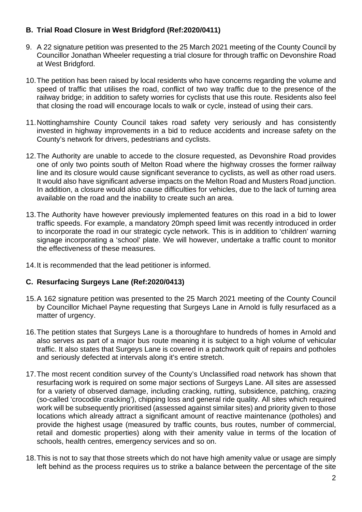### **B. Trial Road Closure in West Bridgford (Ref:2020/0411)**

- 9. A 22 signature petition was presented to the 25 March 2021 meeting of the County Council by Councillor Jonathan Wheeler requesting a trial closure for through traffic on Devonshire Road at West Bridgford.
- 10.The petition has been raised by local residents who have concerns regarding the volume and speed of traffic that utilises the road, conflict of two way traffic due to the presence of the railway bridge; in addition to safety worries for cyclists that use this route. Residents also feel that closing the road will encourage locals to walk or cycle, instead of using their cars.
- 11.Nottinghamshire County Council takes road safety very seriously and has consistently invested in highway improvements in a bid to reduce accidents and increase safety on the County's network for drivers, pedestrians and cyclists.
- 12.The Authority are unable to accede to the closure requested, as Devonshire Road provides one of only two points south of Melton Road where the highway crosses the former railway line and its closure would cause significant severance to cyclists, as well as other road users. It would also have significant adverse impacts on the Melton Road and Musters Road junction. In addition, a closure would also cause difficulties for vehicles, due to the lack of turning area available on the road and the inability to create such an area.
- 13.The Authority have however previously implemented features on this road in a bid to lower traffic speeds. For example, a mandatory 20mph speed limit was recently introduced in order to incorporate the road in our strategic cycle network. This is in addition to 'children' warning signage incorporating a 'school' plate. We will however, undertake a traffic count to monitor the effectiveness of these measures.
- 14.It is recommended that the lead petitioner is informed.

### **C. Resurfacing Surgeys Lane (Ref:2020/0413)**

- 15.A 162 signature petition was presented to the 25 March 2021 meeting of the County Council by Councillor Michael Payne requesting that Surgeys Lane in Arnold is fully resurfaced as a matter of urgency.
- 16.The petition states that Surgeys Lane is a thoroughfare to hundreds of homes in Arnold and also serves as part of a major bus route meaning it is subject to a high volume of vehicular traffic. It also states that Surgeys Lane is covered in a patchwork quilt of repairs and potholes and seriously defected at intervals along it's entire stretch.
- 17.The most recent condition survey of the County's Unclassified road network has shown that resurfacing work is required on some major sections of Surgeys Lane. All sites are assessed for a variety of observed damage, including cracking, rutting, subsidence, patching, crazing (so-called 'crocodile cracking'), chipping loss and general ride quality. All sites which required work will be subsequently prioritised (assessed against similar sites) and priority given to those locations which already attract a significant amount of reactive maintenance (potholes) and provide the highest usage (measured by traffic counts, bus routes, number of commercial, retail and domestic properties) along with their amenity value in terms of the location of schools, health centres, emergency services and so on.
- 18.This is not to say that those streets which do not have high amenity value or usage are simply left behind as the process requires us to strike a balance between the percentage of the site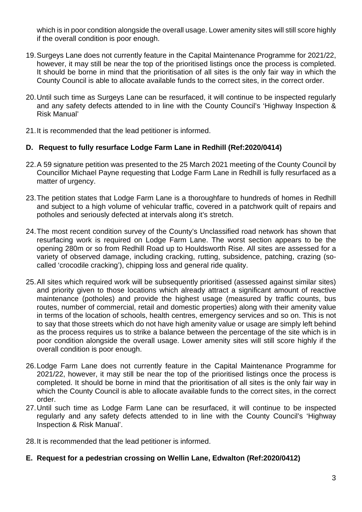which is in poor condition alongside the overall usage. Lower amenity sites will still score highly if the overall condition is poor enough.

- 19.Surgeys Lane does not currently feature in the Capital Maintenance Programme for 2021/22, however, it may still be near the top of the prioritised listings once the process is completed. It should be borne in mind that the prioritisation of all sites is the only fair way in which the County Council is able to allocate available funds to the correct sites, in the correct order.
- 20.Until such time as Surgeys Lane can be resurfaced, it will continue to be inspected regularly and any safety defects attended to in line with the County Council's 'Highway Inspection & Risk Manual'
- 21.It is recommended that the lead petitioner is informed.

### **D. Request to fully resurface Lodge Farm Lane in Redhill (Ref:2020/0414)**

- 22.A 59 signature petition was presented to the 25 March 2021 meeting of the County Council by Councillor Michael Payne requesting that Lodge Farm Lane in Redhill is fully resurfaced as a matter of urgency.
- 23.The petition states that Lodge Farm Lane is a thoroughfare to hundreds of homes in Redhill and subject to a high volume of vehicular traffic, covered in a patchwork quilt of repairs and potholes and seriously defected at intervals along it's stretch.
- 24.The most recent condition survey of the County's Unclassified road network has shown that resurfacing work is required on Lodge Farm Lane. The worst section appears to be the opening 280m or so from Redhill Road up to Houldsworth Rise. All sites are assessed for a variety of observed damage, including cracking, rutting, subsidence, patching, crazing (socalled 'crocodile cracking'), chipping loss and general ride quality.
- 25.All sites which required work will be subsequently prioritised (assessed against similar sites) and priority given to those locations which already attract a significant amount of reactive maintenance (potholes) and provide the highest usage (measured by traffic counts, bus routes, number of commercial, retail and domestic properties) along with their amenity value in terms of the location of schools, health centres, emergency services and so on. This is not to say that those streets which do not have high amenity value or usage are simply left behind as the process requires us to strike a balance between the percentage of the site which is in poor condition alongside the overall usage. Lower amenity sites will still score highly if the overall condition is poor enough.
- 26.Lodge Farm Lane does not currently feature in the Capital Maintenance Programme for 2021/22, however, it may still be near the top of the prioritised listings once the process is completed. It should be borne in mind that the prioritisation of all sites is the only fair way in which the County Council is able to allocate available funds to the correct sites, in the correct order.
- 27.Until such time as Lodge Farm Lane can be resurfaced, it will continue to be inspected regularly and any safety defects attended to in line with the County Council's 'Highway Inspection & Risk Manual'.
- 28.It is recommended that the lead petitioner is informed.
- **E. Request for a pedestrian crossing on Wellin Lane, Edwalton (Ref:2020/0412)**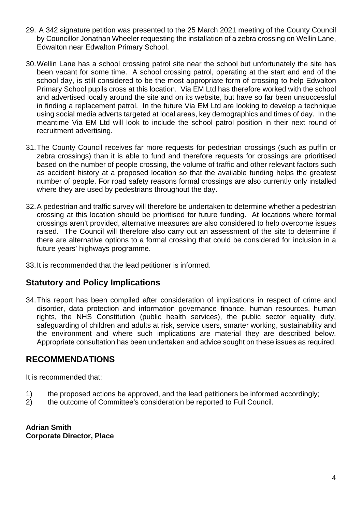- 29. A 342 signature petition was presented to the 25 March 2021 meeting of the County Council by Councillor Jonathan Wheeler requesting the installation of a zebra crossing on Wellin Lane, Edwalton near Edwalton Primary School.
- 30.Wellin Lane has a school crossing patrol site near the school but unfortunately the site has been vacant for some time. A school crossing patrol, operating at the start and end of the school day, is still considered to be the most appropriate form of crossing to help Edwalton Primary School pupils cross at this location. Via EM Ltd has therefore worked with the school and advertised locally around the site and on its website, but have so far been unsuccessful in finding a replacement patrol. In the future Via EM Ltd are looking to develop a technique using social media adverts targeted at local areas, key demographics and times of day. In the meantime Via EM Ltd will look to include the school patrol position in their next round of recruitment advertising.
- 31.The County Council receives far more requests for pedestrian crossings (such as puffin or zebra crossings) than it is able to fund and therefore requests for crossings are prioritised based on the number of people crossing, the volume of traffic and other relevant factors such as accident history at a proposed location so that the available funding helps the greatest number of people. For road safety reasons formal crossings are also currently only installed where they are used by pedestrians throughout the day.
- 32.A pedestrian and traffic survey will therefore be undertaken to determine whether a pedestrian crossing at this location should be prioritised for future funding. At locations where formal crossings aren't provided, alternative measures are also considered to help overcome issues raised. The Council will therefore also carry out an assessment of the site to determine if there are alternative options to a formal crossing that could be considered for inclusion in a future years' highways programme.
- 33.It is recommended that the lead petitioner is informed.

## **Statutory and Policy Implications**

34.This report has been compiled after consideration of implications in respect of crime and disorder, data protection and information governance finance, human resources, human rights, the NHS Constitution (public health services), the public sector equality duty, safeguarding of children and adults at risk, service users, smarter working, sustainability and the environment and where such implications are material they are described below. Appropriate consultation has been undertaken and advice sought on these issues as required.

# **RECOMMENDATIONS**

It is recommended that:

- 1) the proposed actions be approved, and the lead petitioners be informed accordingly;
- 2) the outcome of Committee's consideration be reported to Full Council.

**Adrian Smith Corporate Director, Place**